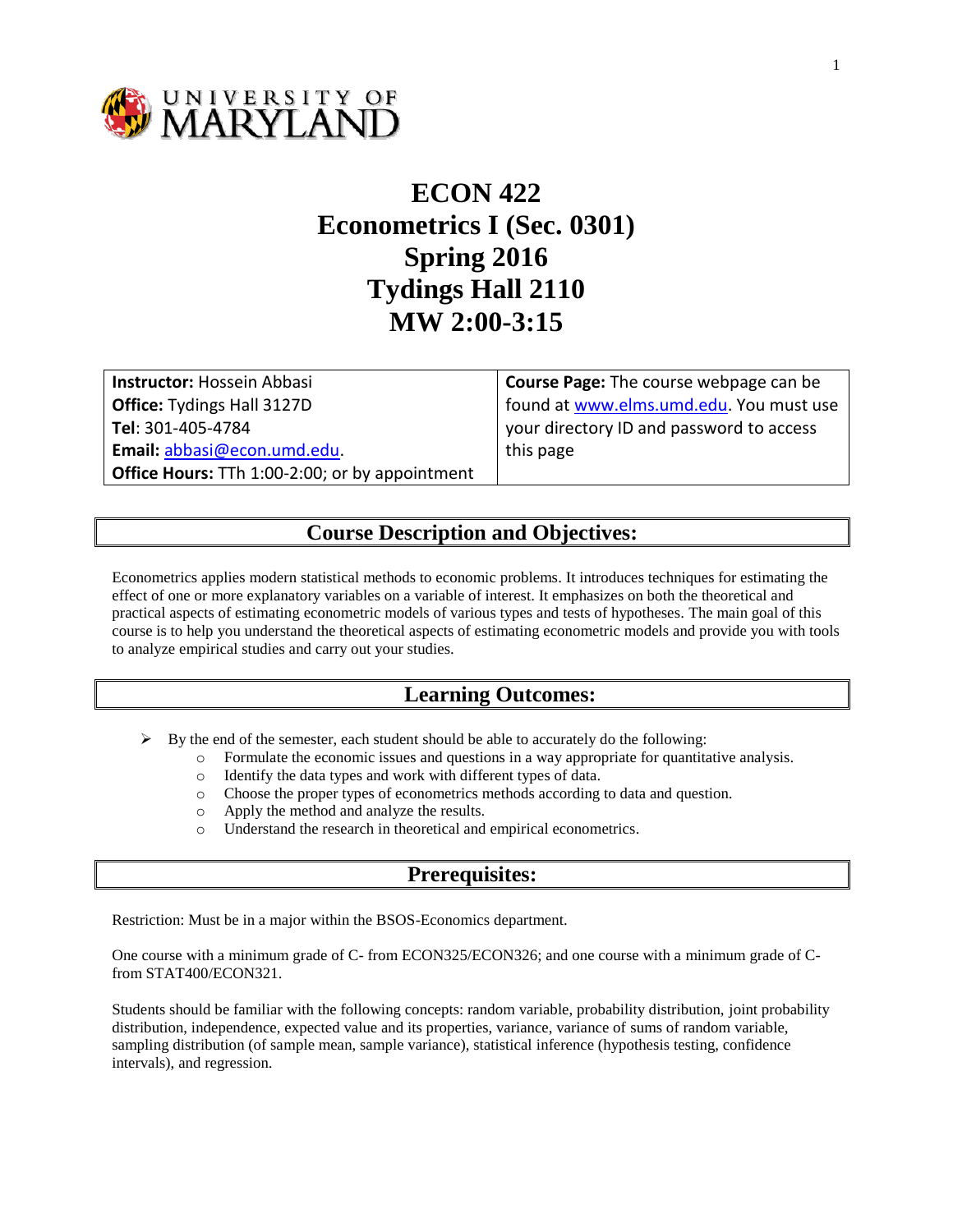

# **ECON 422 Econometrics I (Sec. 0301) Spring 2016 Tydings Hall 2110 MW 2:00-3:15**

**Instructor:** Hossein Abbasi **Office:** Tydings Hall 3127D **Tel**: 301-405-4784 **Email:** [abbasi@econ.umd.edu.](mailto:abbasi@econ.umd.edu) **Office Hours:** TTh 1:00-2:00; or by appointment **Course Page:** The course webpage can be found at [www.elms.umd.edu.](http://www.elms.umd.edu/) You must use your directory ID and password to access this page

#### **Course Description and Objectives:**

Econometrics applies modern statistical methods to economic problems. It introduces techniques for estimating the effect of one or more explanatory variables on a variable of interest. It emphasizes on both the theoretical and practical aspects of estimating econometric models of various types and tests of hypotheses. The main goal of this course is to help you understand the theoretical aspects of estimating econometric models and provide you with tools to analyze empirical studies and carry out your studies.

#### **Learning Outcomes:**

 $\triangleright$  By the end of the semester, each student should be able to accurately do the following:

- o Formulate the economic issues and questions in a way appropriate for quantitative analysis.
- o Identify the data types and work with different types of data.
- o Choose the proper types of econometrics methods according to data and question.
- o Apply the method and analyze the results.
- o Understand the research in theoretical and empirical econometrics.

#### **Prerequisites:**

Restriction: Must be in a major within the BSOS-Economics department.

One course with a minimum grade of C- from ECON325/ECON326; and one course with a minimum grade of Cfrom STAT400/ECON321.

Students should be familiar with the following concepts: random variable, probability distribution, joint probability distribution, independence, expected value and its properties, variance, variance of sums of random variable, sampling distribution (of sample mean, sample variance), statistical inference (hypothesis testing, confidence intervals), and regression.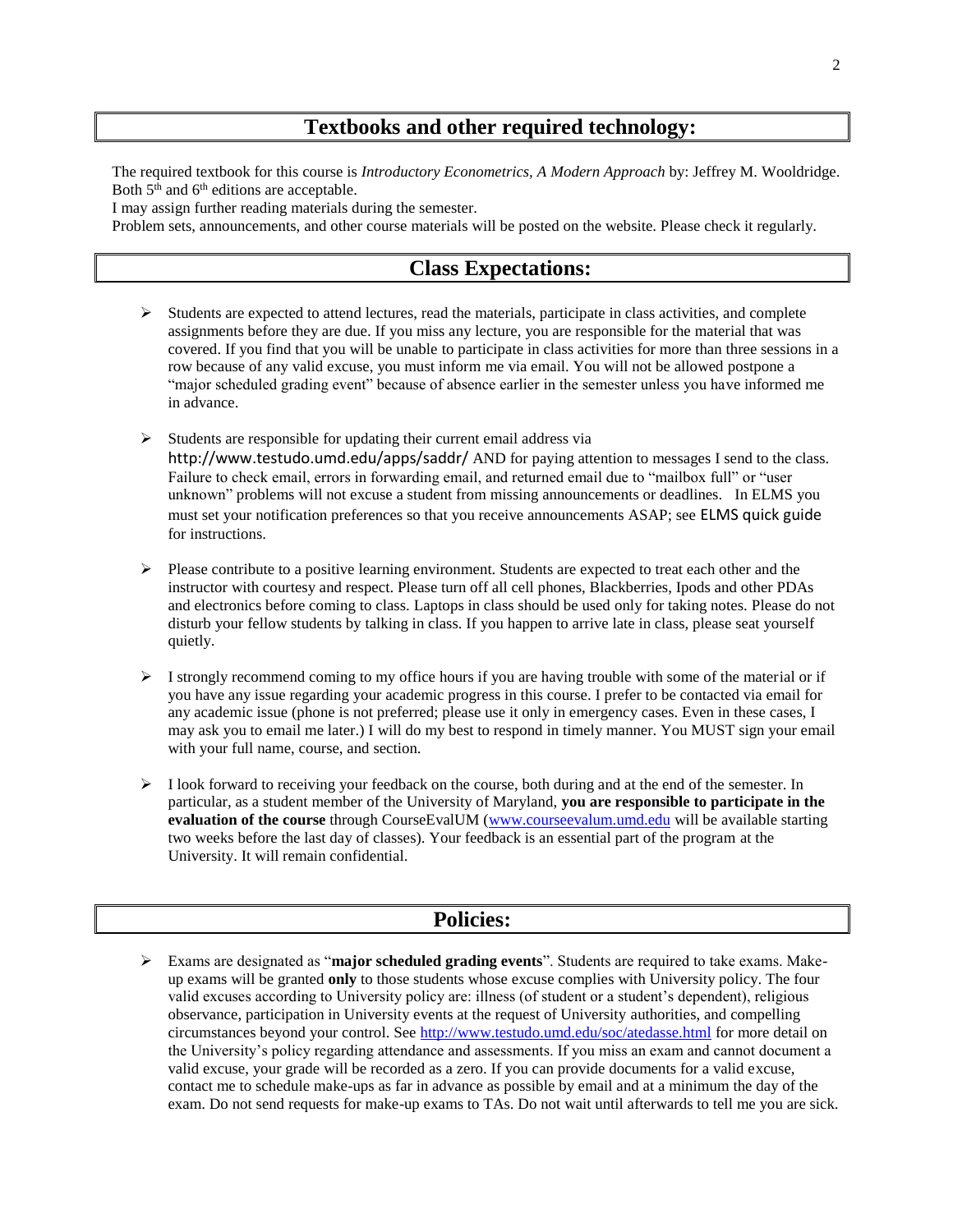### **Textbooks and other required technology:**

The required textbook for this course is *Introductory Econometrics, A Modern Approach* by: Jeffrey M. Wooldridge. Both  $5<sup>th</sup>$  and  $6<sup>th</sup>$  editions are acceptable.

I may assign further reading materials during the semester.

Problem sets, announcements, and other course materials will be posted on the website. Please check it regularly.

#### **Class Expectations:**

- $\triangleright$  Students are expected to attend lectures, read the materials, participate in class activities, and complete assignments before they are due. If you miss any lecture, you are responsible for the material that was covered. If you find that you will be unable to participate in class activities for more than three sessions in a row because of any valid excuse, you must inform me via email. You will not be allowed postpone a "major scheduled grading event" because of absence earlier in the semester unless you have informed me in advance.
- $\triangleright$  Students are responsible for updating their current email address via <http://www.testudo.umd.edu/apps/saddr/> AND for paying attention to messages I send to the class. Failure to check email, errors in forwarding email, and returned email due to "mailbox full" or "user unknown" problems will not excuse a student from missing announcements or deadlines. In ELMS you must set your notification preferences so that you receive announcements ASAP; see [ELMS quick guide](http://elms.umd.edu/sites/elms.umd.edu/files/webfiles/documents/Student-%20Notifications.pdf) for instructions.
- $\triangleright$  Please contribute to a positive learning environment. Students are expected to treat each other and the instructor with courtesy and respect. Please turn off all cell phones, Blackberries, Ipods and other PDAs and electronics before coming to class. Laptops in class should be used only for taking notes. Please do not disturb your fellow students by talking in class. If you happen to arrive late in class, please seat yourself quietly.
- $\triangleright$  I strongly recommend coming to my office hours if you are having trouble with some of the material or if you have any issue regarding your academic progress in this course. I prefer to be contacted via email for any academic issue (phone is not preferred; please use it only in emergency cases. Even in these cases, I may ask you to email me later.) I will do my best to respond in timely manner. You MUST sign your email with your full name, course, and section.
- $\triangleright$  I look forward to receiving your feedback on the course, both during and at the end of the semester. In particular, as a student member of the University of Maryland, **you are responsible to participate in the evaluation of the course** through CourseEvalUM [\(www.courseevalum.umd.edu](http://www.courseevalum.umd.edu/) will be available starting two weeks before the last day of classes). Your feedback is an essential part of the program at the University. It will remain confidential.

#### **Policies:**

 Exams are designated as "**major scheduled grading events**". Students are required to take exams. Makeup exams will be granted **only** to those students whose excuse complies with University policy. The four valid excuses according to University policy are: illness (of student or a student's dependent), religious observance, participation in University events at the request of University authorities, and compelling circumstances beyond your control. See<http://www.testudo.umd.edu/soc/atedasse.html> for more detail on the University's policy regarding attendance and assessments. If you miss an exam and cannot document a valid excuse, your grade will be recorded as a zero. If you can provide documents for a valid excuse, contact me to schedule make-ups as far in advance as possible by email and at a minimum the day of the exam. Do not send requests for make-up exams to TAs. Do not wait until afterwards to tell me you are sick.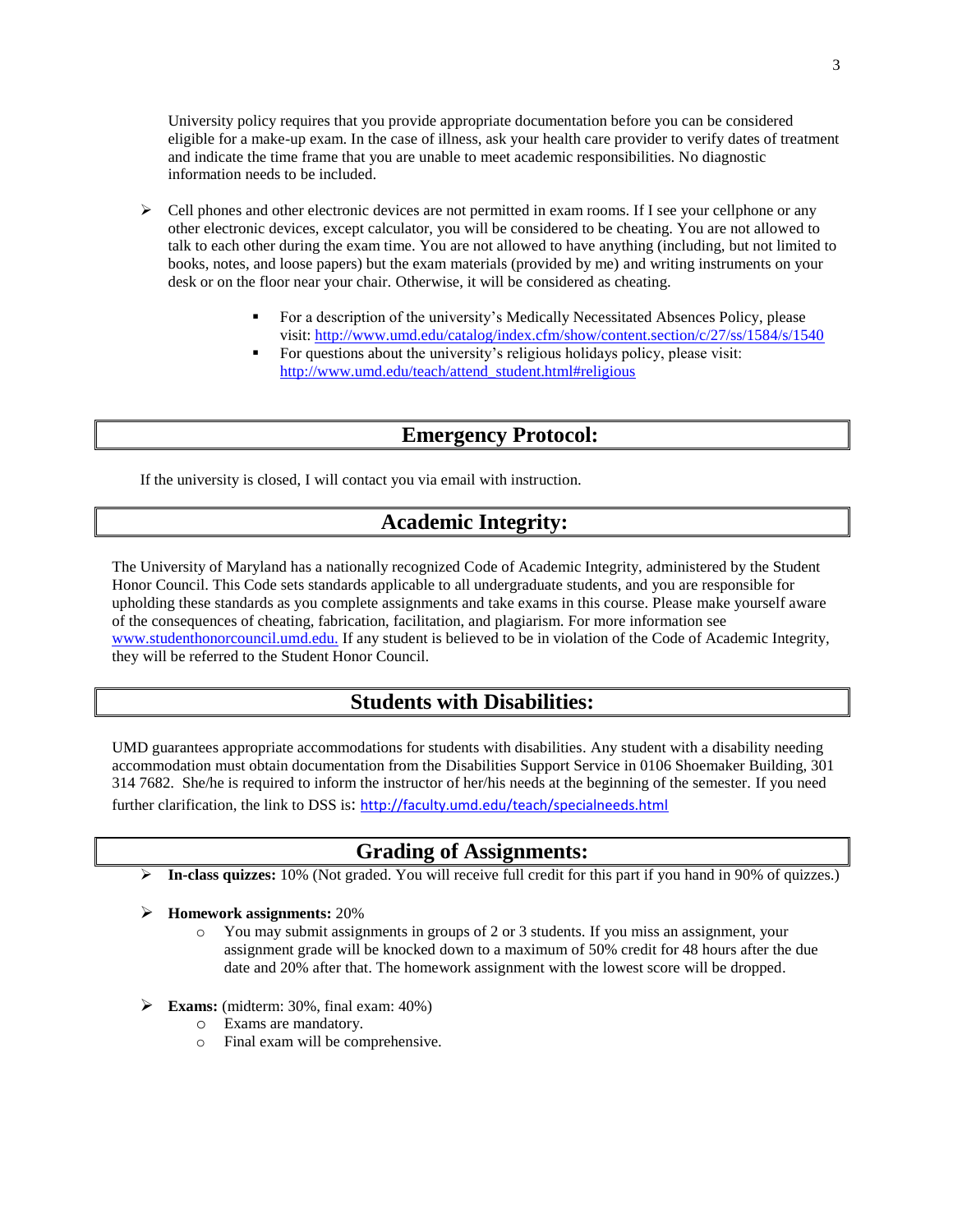University policy requires that you provide appropriate documentation before you can be considered eligible for a make-up exam. In the case of illness, ask your health care provider to verify dates of treatment and indicate the time frame that you are unable to meet academic responsibilities. No diagnostic information needs to be included.

- $\triangleright$  Cell phones and other electronic devices are not permitted in exam rooms. If I see your cellphone or any other electronic devices, except calculator, you will be considered to be cheating. You are not allowed to talk to each other during the exam time. You are not allowed to have anything (including, but not limited to books, notes, and loose papers) but the exam materials (provided by me) and writing instruments on your desk or on the floor near your chair. Otherwise, it will be considered as cheating.
	- For a description of the university's Medically Necessitated Absences Policy, please visit: <http://www.umd.edu/catalog/index.cfm/show/content.section/c/27/ss/1584/s/1540>
	- For questions about the university's religious holidays policy, please visit: [http://www.umd.edu/teach/attend\\_student.html#religious](http://www.umd.edu/teach/attend_student.html#religious)

### **Emergency Protocol:**

If the university is closed, I will contact you via email with instruction.

### **Academic Integrity:**

The University of Maryland has a nationally recognized Code of Academic Integrity, administered by the Student Honor Council. This Code sets standards applicable to all undergraduate students, and you are responsible for upholding these standards as you complete assignments and take exams in this course. Please make yourself aware of the consequences of cheating, fabrication, facilitation, and plagiarism. For more information see [www.studenthonorcouncil.umd.edu.](../../AppData/Local/Temp/www.studenthonorcouncil.umd.edu.) If any student is believed to be in violation of the Code of Academic Integrity, they will be referred to the Student Honor Council.

#### **Students with Disabilities:**

UMD guarantees appropriate accommodations for students with disabilities. Any student with a disability needing accommodation must obtain documentation from the Disabilities Support Service in 0106 Shoemaker Building, 301 314 7682. She/he is required to inform the instructor of her/his needs at the beginning of the semester. If you need further clarification, the link to DSS is: <http://faculty.umd.edu/teach/specialneeds.html>

#### **Grading of Assignments:**

- **In-class quizzes:** 10% (Not graded. You will receive full credit for this part if you hand in 90% of quizzes.)
- **Homework assignments:** 20%
	- o You may submit assignments in groups of 2 or 3 students. If you miss an assignment, your assignment grade will be knocked down to a maximum of 50% credit for 48 hours after the due date and 20% after that. The homework assignment with the lowest score will be dropped.
- **Exams:** (midterm: 30%, final exam: 40%)
	- o Exams are mandatory.
	- o Final exam will be comprehensive.